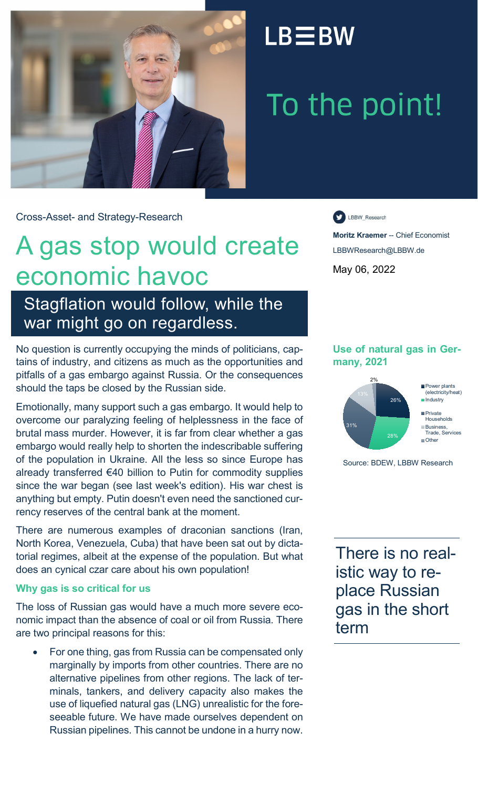

## $LB \equiv BW$

# To the point!

Cross-Asset- and Strategy-Research

# A gas stop would create economic havoc

Stagflation would follow, while the war might go on regardless.

No question is currently occupying the minds of politicians, captains of industry, and citizens as much as the opportunities and pitfalls of a gas embargo against Russia. Or the consequences should the taps be closed by the Russian side.

Emotionally, many support such a gas embargo. It would help to overcome our paralyzing feeling of helplessness in the face of brutal mass murder. However, it is far from clear whether a gas embargo would really help to shorten the indescribable suffering of the population in Ukraine. All the less so since Europe has already transferred €40 billion to Putin for commodity supplies since the war began (see last week's edition). His war chest is anything but empty. Putin doesn't even need the sanctioned currency reserves of the central bank at the moment.

There are numerous examples of draconian sanctions (Iran, North Korea, Venezuela, Cuba) that have been sat out by dictatorial regimes, albeit at the expense of the population. But what does an cynical czar care about his own population!

#### **Why gas is so critical for us**

The loss of Russian gas would have a much more severe economic impact than the absence of coal or oil from Russia. There are two principal reasons for this:

• For one thing, gas from Russia can be compensated only marginally by imports from other countries. There are no alternative pipelines from other regions. The lack of terminals, tankers, and delivery capacity also makes the use of liquefied natural gas (LNG) unrealistic for the foreseeable future. We have made ourselves dependent on Russian pipelines. This cannot be undone in a hurry now.

LBBW\_Research

**Moritz Kraemer** -- Chief Economist LBBWResearch@LBBW.de May 06, 2022

#### **Use of natural gas in Germany, 2021**



**Industry Private** Households **Business** Trade, Services

Source: BDEW, LBBW Research

There is no realistic way to replace Russian gas in the short term